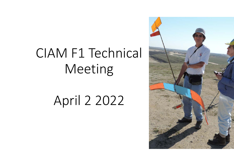# CIAM F1 Technical Meeting

# April 2 2022

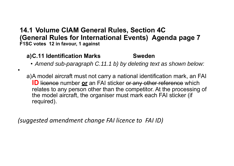## **14.1 Volume CIAM General Rules, Section 4C (General Rules for International Events) Agenda page 7 F1SC votes 12 in favour, 1 against**

# **a)C.11 Identification Marks Sweden**

•

• *Amend sub-paragraph C.11.1 b) by deleting text as shown below:*

a)A model aircraft must not carry a national identification mark, an FAI **ID** licence number **or** an FAI sticker or any other reference which relates to any person other than the competitor. At the processing of the model aircraft, the organiser must mark each FAI sticker (i f required).

*(suggested amendment change FAI licence to FAI ID)*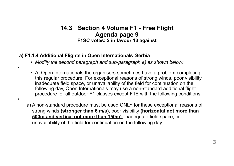### **14.3 Section 4 Volume F1 - Free Flight Agenda page 9 F1SC votes: 2 in favour 13 against**

#### **a) F1.1.4 Additional Flights in Open Internationals Serbia**

•

•

- *Modify the second paragraph and sub-paragraph a) as shown below:*
- At Open Internationals the organisers sometimes have a problem completing this regular procedure. For exceptional reasons of strong winds, poor visibility, inadequate field space, or unavailability of the field for continuation on the following day, Open Internationals may use a non-standard additional flight procedure for all outdoor F1 classes except F1E with the following conditions:
- a) A non-standard procedure must be used ONLY for these exceptional reasons of strong winds **(stronger than 6 m/s)**, poor visibility **(horizontal not more than 500m and vertical not more than 150m)**, inadequate field space, or unavailability of the field for continuation on the following day.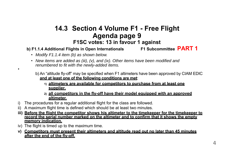# **14.3 Section 4 Volume F1 - Free Flight Agenda page 9 F1SC votes: 13 in favour 1 against**

#### **b**) F1.1.4 Additional Flights in Open Internationals **F1** Subcommittee PART 1

- *Modify F1.1.4 item (b) as shown below.*
- *New items are added as (iii), (v), and (ix). Other items have been modified and renumbered to fit with the newly-added items.*
	- b) An "altitude fly-off" may be specified when F1 altimeters have been approved by CIAM EDIC **and at least one of the following conditions are met**:
		- **1) altimeters are available for competitors to purchase from at least one supplier.**
		- **2) all competitors in the fly-off have their model equipped with an approved altimeter.**
- i) The procedures for a regular additional flight for the class are followed.
- ii) A maximum flight time is defined which should be at least two minutes.
- **iii) Before the flight the competitor shows his altimeter to the timekeeper for the timekeeper to record the serial number marked on the altimeter and to confirm that it shows the empty memory indication.**
- iv) The flight is timed up to the maximum time.

•

**v) Competitors must present their altimeters and altitude read out no later than 45 minutes after the end of the fly-off.**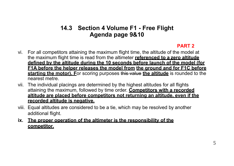## **14.3 Section 4 Volume F1 - Free Flight Agenda page 9&10**

#### **PART 2**

- vi. For all competitors attaining the maximum flight time, the altitude of the model at the maximum flight time is read from the altimeter **referenced to a zero altitude defined by the altitude during the 10 seconds before launch of the model (for F1A before the helper releases the model from the ground and for F1C before starting the motor). F**or scoring purposes this value **the altitude** is rounded to the nearest metre.
- vii. The individual placings are determined by the highest altitudes for all flights attaining the maximum, followed by time order. **Competitors with a recorded altitude are placed before competitors not returning an altitude, even if the recorded altitude is negative.**
- viii. Equal altitudes are considered to be a tie, which may be resolved by another additional flight.
- **ix. The proper operation of the altimeter is the responsibility of the competitor.**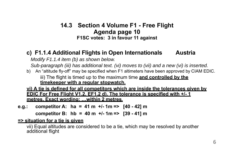## **14.3 Section 4 Volume F1 - Free Flight Agenda page 10 F1SC votes: 3 in favour 11 against**

## **c) F1.1.4 Additional Flights in Open Internationals Austria**

*Modify F1.1.4 item (b) as shown below.*

*Sub-paragraph (iii) has additional text. (vi) moves to (vii) and a new (vi) is inserted.*

b) An "altitude fly-off" may be specified when F1 altimeters have been approved by CIAM EDIC. iii) The flight is timed up to the maximum time **and controlled by the timekeeper with a regular stopwatch.**

**vi) A tie is defined for all competitors which are inside the tolerances given by EDIC For Free Flight V1.2, EF1.2 d). The tolerance is specified with +/- 1 metres. Exact wording: …within 2 metres.**

**e.g.: competitor A: ha = 41 m +/- 1m => [40 - 42] m** 

**competitor B: hb = 40 m +/- 1m => [39 - 41] <sup>m</sup>**

#### **=> situation for a tie is given**

vii) Equal altitudes are considered to be a tie, which may be resolved by another additional flight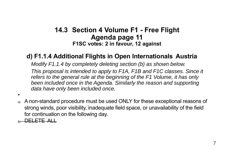# **14.3 Section 4 Volume F1 - Free Flight Agenda page 11 F1SC votes: 2 in favour, 12 against**

# **d) F1.1.4 Additional Flights in Open Internationals Austria**

*Modify F1.1.4 by completely deleting section (b) as shown below.*

*This proposal is intended to apply to F1A, F1B and F1C classes. Since it refers to the general rule at the beginning of the F1 Volume, it has only been included once in the Agenda. Similarly the reason and supporting data have only been included once.*

- •
- a) A non-standard procedure must be used ONLY for these exceptional reasons of strong winds, poor visibility, inadequate field space, or unavailability of the field for continuation on the following day.

**DELETE ALL**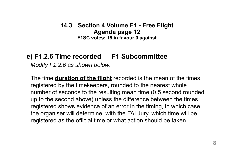**14.3 Section 4 Volume F1 - Free Flight Agenda page 12 F1SC votes: 15 in favour 0 against**

# **e) F1.2.6 Time recorded F1 Subcommittee**

*Modify F1.2.6 as shown below:*

The time **duration of the flight** recorded is the mean of the times registered by the timekeepers, rounded to the nearest whole number of seconds to the resulting mean time (0.5 second rounded up to the second above) unless the difference between the times registered shows evidence of an error in the timing, in which case the organiser will determine, with the FAI Jury, which time will be registered as the official time or what action should be taken.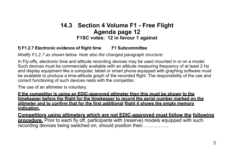## **14.3 Section 4 Volume F1 - Free Flight Agenda page 12 F1SC votes: 12 in favour 1 against**

#### **f) F1.2.7 Electronic evidence of flight time F1 Subcommittee**

*Modify F1.2.7 as shown below. Note also the changed paragraph structure:*

In Fly-offs, electronic time and altitude recording devices may be used mounted in or on a model. Such devices must be commercially available with an altitude measuring frequency of at least 2 Hz and display equipment like a computer, tablet or smart phone equipped with graphing software must be available to produce a time-altitude graph of the recorded flight. The responsibility of the use and correct functioning of such devices rests with the competitor.

The use of an altimeter is voluntary.

**If the competitor is using an EDIC-approved altimeter then this must be shown to the timekeeper before the flight for the timekeeper to record the serial number marked on the altimeter and to confirm that for the first additional flight it shows the empty memory indication.**

**Competitors using altimeters which are not EDIC-approved must follow the following procedure.** Prior to each fly off, participants with (reserve) models equipped with such recording devices being switched on, should position their…………….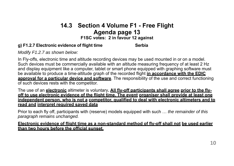# **14.3 Section 4 Volume F1 - Free Flight Agenda page 13**

#### **F1SC votes: 2 in favour 12 against**

#### **g) F1.2.7 Electronic evidence of flight time Serbia**

*Modify F1.2.7 as shown below:*

In Fly-offs, electronic time and altitude recording devices may be used mounted in or on a model. Such devices must be commercially available with an altitude measuring frequency of at least 2 Hz and display equipment like a computer, tablet or smart phone equipped with graphing software must be available to produce a time-altitude graph of the recorded flight **in accordance with the EDIC approval for a particular device and software**. The responsibility of the use and correct functioning of such devices rests with the competitor.

The use of an **electronic** altimeter is voluntary**. All fly-off participants shall agree prior to the flyoff to use electronic evidence of the flight time. The event organiser shall provide at least one independent person, who is not a competitor, qualified to deal with electronic altimeters and to read and interpret required saved data**

Prior to each fly off, participants with (reserve) models equipped with such … *the remainder of this paragraph remains unchanged.*

**Electronic evidence of flight time as a non-standard method of fly-off shall not be used earlier than two hours before the official sunset.**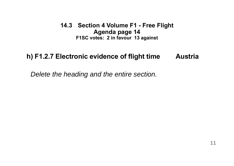**14.3 Section 4 Volume F1 - Free Flight Agenda page 14 F1SC votes: 2 in favour 13 against**

# **h) F1.2.7 Electronic evidence of flight time Austria**

*Delete the heading and the entire section.*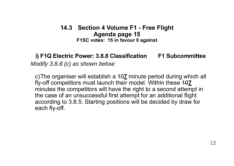## **14.3 Section 4 Volume F1 - Free Flight Agenda page 15 F1SC votes: 15 in favour 0 against**

**i) F1Q Electric Power: 3.8.8 Classification F1 Subcommittee** *Modify 3.8.8 (c) as shown below:*

c)The organiser will establish a <del>10</del>Z minute period during which all fly-off competitors must launch their model. Within these  $40$ <u>7</u> minutes the competitors will have the right to a second attempt in the case of an unsuccessful first attempt for an additional flight according to 3.8.5. Starting positions will be decided by draw for each fly-off.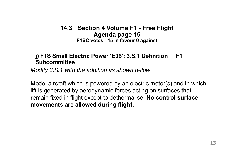## **14.3 Section 4 Volume F1 - Free Flight Agenda page 15 F1SC votes: 15 in favour 0 against**

## **j) F1S Small Electric Power 'E36': 3.S.1 Definition F1 Subcommittee**

*Modify 3.S.1 with the addition as shown below:*

Model aircraft which is powered by an electric motor(s) and in which lift is generated by aerodynamic forces acting on surfaces that remain fixed in flight except to dethermalise. **No control surface movements are allowed during flight.**